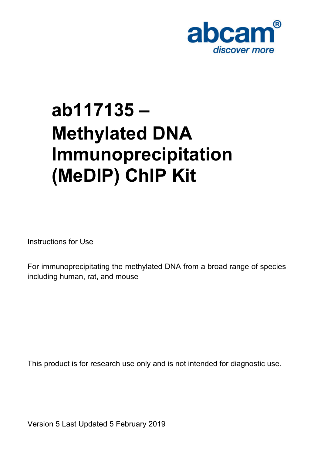

# **ab117135 – Methylated DNA Immunoprecipitation (MeDIP) ChIP Kit**

Instructions for Use

For immunoprecipitating the methylated DNA from a broad range of species including human, rat, and mouse

This product is for research use only and is not intended for diagnostic use.

Version 5 Last Updated 5 February 2019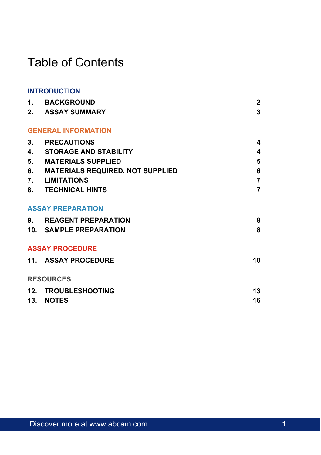# Table of Contents

#### **INTRODUCTION**

| 1. | <b>BACKGROUND</b>                   | 2              |
|----|-------------------------------------|----------------|
|    | 2. ASSAY SUMMARY                    | 3              |
|    | <b>GENERAL INFORMATION</b>          |                |
|    | 3. PRECAUTIONS                      | 4              |
|    | 4. STORAGE AND STABILITY            | $\overline{4}$ |
|    | 5. MATERIALS SUPPLIED               | 5              |
|    | 6. MATERIALS REQUIRED, NOT SUPPLIED | 6              |
|    | 7. LIMITATIONS                      | $\overline{7}$ |
|    | 8. TECHNICAL HINTS                  | $\overline{7}$ |
|    | <b>ASSAY PREPARATION</b>            |                |
|    | 9. REAGENT PREPARATION              | 8              |
|    | 10. SAMPLE PREPARATION              | 8              |
|    | <b>ASSAY PROCEDURE</b>              |                |
|    | 11. ASSAY PROCEDURE                 | 10             |
|    | <b>RESOURCES</b>                    |                |
|    | 12. TROUBLESHOOTING                 | 13             |
|    | 13. NOTES                           | 16             |
|    |                                     |                |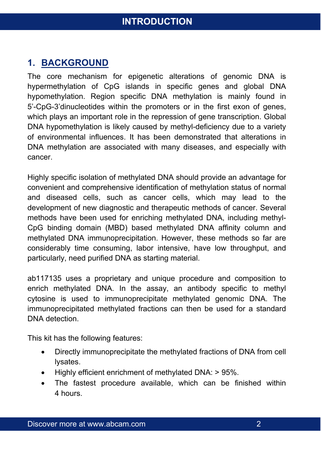### <span id="page-2-0"></span>**1. BACKGROUND**

The core mechanism for epigenetic alterations of genomic DNA is hypermethylation of CpG islands in specific genes and global DNA hypomethylation. Region specific DNA methylation is mainly found in 5'-CpG-3'dinucleotides within the promoters or in the first exon of genes, which plays an important role in the repression of gene transcription. Global DNA hypomethylation is likely caused by methyl-deficiency due to a variety of environmental influences. It has been demonstrated that alterations in DNA methylation are associated with many diseases, and especially with cancer.

Highly specific isolation of methylated DNA should provide an advantage for convenient and comprehensive identification of methylation status of normal and diseased cells, such as cancer cells, which may lead to the development of new diagnostic and therapeutic methods of cancer. Several methods have been used for enriching methylated DNA, including methyl-CpG binding domain (MBD) based methylated DNA affinity column and methylated DNA immunoprecipitation. However, these methods so far are considerably time consuming, labor intensive, have low throughput, and particularly, need purified DNA as starting material.

ab117135 uses a proprietary and unique procedure and composition to enrich methylated DNA. In the assay, an antibody specific to methyl cytosine is used to immunoprecipitate methylated genomic DNA. The immunoprecipitated methylated fractions can then be used for a standard DNA detection.

This kit has the following features:

- Directly immunoprecipitate the methylated fractions of DNA from cell lysates.
- Highly efficient enrichment of methylated DNA: > 95%.
- The fastest procedure available, which can be finished within 4 hours.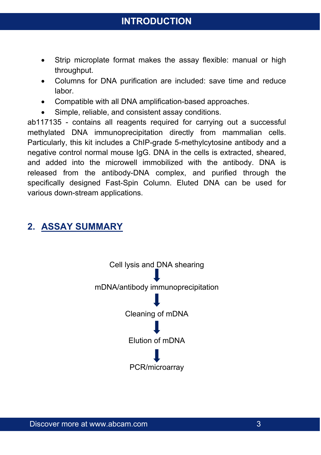- Strip microplate format makes the assay flexible: manual or high throughput.
- Columns for DNA purification are included: save time and reduce labor.
- Compatible with all DNA amplification-based approaches.
- Simple, reliable, and consistent assay conditions.

ab117135 - contains all reagents required for carrying out a successful methylated DNA immunoprecipitation directly from mammalian cells. Particularly, this kit includes a ChIP-grade 5-methylcytosine antibody and a negative control normal mouse IgG. DNA in the cells is extracted, sheared, and added into the microwell immobilized with the antibody. DNA is released from the antibody-DNA complex, and purified through the specifically designed Fast-Spin Column. Eluted DNA can be used for various down-stream applications.

# <span id="page-3-0"></span>**2. ASSAY SUMMARY**

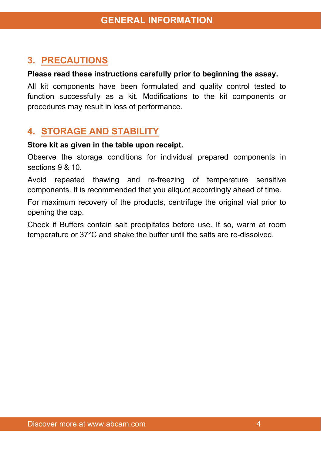### <span id="page-4-0"></span>**3. PRECAUTIONS**

#### **Please read these instructions carefully prior to beginning the assay.**

All kit components have been formulated and quality control tested to function successfully as a kit. Modifications to the kit components or procedures may result in loss of performance.

### <span id="page-4-1"></span>**4. STORAGE AND STABILITY**

#### **Store kit as given in the table upon receipt.**

Observe the storage conditions for individual prepared components in sections 9 & 10.

Avoid repeated thawing and re-freezing of temperature sensitive components. It is recommended that you aliquot accordingly ahead of time.

For maximum recovery of the products, centrifuge the original vial prior to opening the cap.

Check if Buffers contain salt precipitates before use. If so, warm at room temperature or 37°C and shake the buffer until the salts are re-dissolved.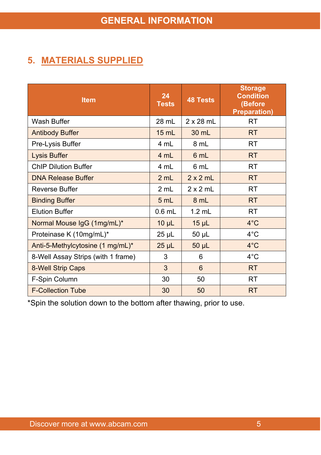# <span id="page-5-0"></span>**5. MATERIALS SUPPLIED**

| <b>Item</b>                        | 24<br><b>Tests</b> | <b>48 Tests</b>  | <b>Storage</b><br><b>Condition</b><br>(Before<br><b>Preparation)</b> |
|------------------------------------|--------------------|------------------|----------------------------------------------------------------------|
| Wash Buffer                        | 28 mL              | $2 \times 28$ mL | <b>RT</b>                                                            |
| <b>Antibody Buffer</b>             | $15$ mL            | 30 mL            | <b>RT</b>                                                            |
| Pre-Lysis Buffer                   | 4 mL               | 8 mL             | <b>RT</b>                                                            |
| <b>Lysis Buffer</b>                | 4 mL               | 6 mL             | <b>RT</b>                                                            |
| <b>ChIP Dilution Buffer</b>        | 4 mL               | 6 mL             | <b>RT</b>                                                            |
| <b>DNA Release Buffer</b>          | 2 mL               | $2 \times 2$ mL  | <b>RT</b>                                                            |
| <b>Reverse Buffer</b>              | 2 mL               | $2 \times 2$ mL  | <b>RT</b>                                                            |
| <b>Binding Buffer</b>              | 5 mL               | 8 mL             | <b>RT</b>                                                            |
| <b>Elution Buffer</b>              | $0.6$ mL           | $1.2$ mL         | <b>RT</b>                                                            |
| Normal Mouse IgG (1mg/mL)*         | $10 \mu L$         | $15 \mu L$       | $4^{\circ}$ C                                                        |
| Proteinase K (10mg/mL)*            | $25$ $\mu$ L       | 50 µL            | $4^{\circ}$ C                                                        |
| Anti-5-Methylcytosine (1 mg/mL)*   | $25 \mu L$         | 50 µL            | $4^{\circ}$ C                                                        |
| 8-Well Assay Strips (with 1 frame) | 3                  | 6                | $4^{\circ}$ C                                                        |
| 8-Well Strip Caps                  | 3                  | 6                | <b>RT</b>                                                            |
| F-Spin Column                      | 30                 | 50               | <b>RT</b>                                                            |
| <b>F-Collection Tube</b>           | 30                 | 50               | <b>RT</b>                                                            |

\*Spin the solution down to the bottom after thawing, prior to use.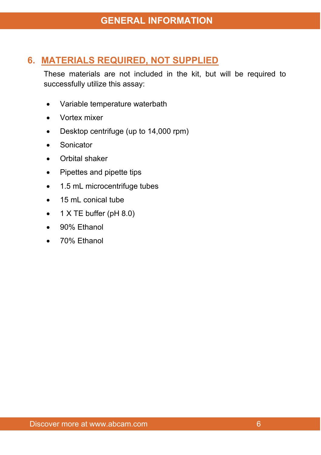### <span id="page-6-0"></span>**6. MATERIALS REQUIRED, NOT SUPPLIED**

These materials are not included in the kit, but will be required to successfully utilize this assay:

- Variable temperature waterbath
- Vortex mixer
- Desktop centrifuge (up to 14,000 rpm)
- Sonicator
- Orbital shaker
- Pipettes and pipette tips
- 1.5 mL microcentrifuge tubes
- 15 mL conical tube
- $\bullet$  1 X TE buffer (pH 8.0)
- 90% Ethanol
- 70% Ethanol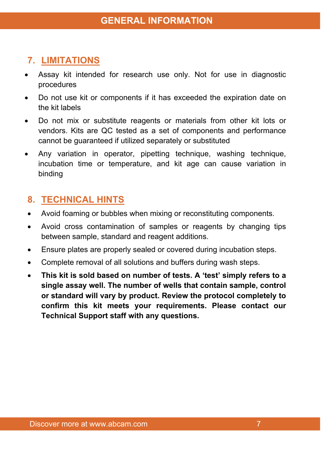# <span id="page-7-0"></span>**7. LIMITATIONS**

- Assay kit intended for research use only. Not for use in diagnostic procedures
- Do not use kit or components if it has exceeded the expiration date on the kit labels
- Do not mix or substitute reagents or materials from other kit lots or vendors. Kits are QC tested as a set of components and performance cannot be guaranteed if utilized separately or substituted
- Any variation in operator, pipetting technique, washing technique, incubation time or temperature, and kit age can cause variation in binding

### <span id="page-7-1"></span>**8. TECHNICAL HINTS**

- Avoid foaming or bubbles when mixing or reconstituting components.
- Avoid cross contamination of samples or reagents by changing tips between sample, standard and reagent additions.
- Ensure plates are properly sealed or covered during incubation steps.
- Complete removal of all solutions and buffers during wash steps.
- **This kit is sold based on number of tests. A 'test' simply refers to a single assay well. The number of wells that contain sample, control or standard will vary by product. Review the protocol completely to confirm this kit meets your requirements. Please contact our Technical Support staff with any questions.**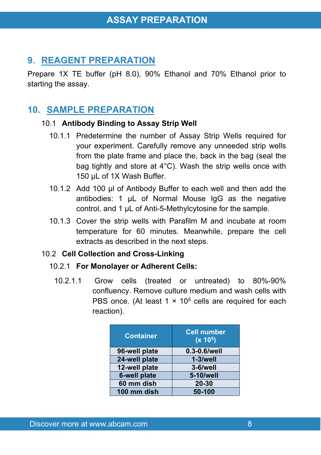### <span id="page-8-0"></span>**9. REAGENT PREPARATION**

Prepare 1X TE buffer (pH 8.0), 90% Ethanol and 70% Ethanol prior to starting the assay.

### <span id="page-8-1"></span>**10. SAMPLE PREPARATION**

#### 10.1 **Antibody Binding to Assay Strip Well**

- 10.1.1 Predetermine the number of Assay Strip Wells required for your experiment. Carefully remove any unneeded strip wells from the plate frame and place the, back in the bag (seal the bag tightly and store at 4°C). Wash the strip wells once with 150 µL of 1X Wash Buffer.
- 10.1.2 Add 100 µl of Antibody Buffer to each well and then add the antibodies: 1 µL of Normal Mouse IgG as the negative control, and 1 µL of Anti-5-Methylcytosine for the sample.
- 10.1.3 Cover the strip wells with Parafilm M and incubate at room temperature for 60 minutes. Meanwhile, prepare the cell extracts as described in the next steps.

#### 10.2 **Cell Collection and Cross-Linking**

#### 10.2.1 **For Monolayer or Adherent Cells:**

10.2.1.1 Grow cells (treated or untreated) to 80%-90% confluency. Remove culture medium and wash cells with PBS once. (At least  $1 \times 10^5$  cells are required for each reaction).

| <b>Container</b> | <b>Cell number</b><br>(x 10 <sup>5</sup> ) |
|------------------|--------------------------------------------|
| 96-well plate    | 0.3-0.6/well                               |
| 24-well plate    | $1-3$ /well                                |
| 12-well plate    | 3-6/well                                   |
| 6-well plate     | 5-10/well                                  |
| 60 mm dish       | 20-30                                      |
| 100 mm dish      | 50-100                                     |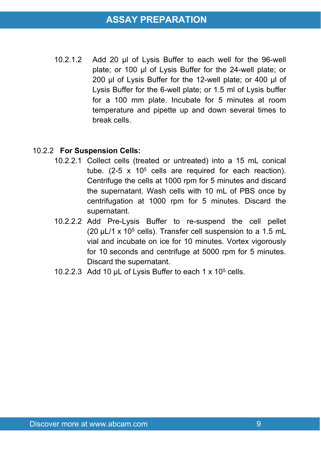10.2.1.2 Add 20 μl of Lysis Buffer to each well for the 96-well plate; or 100 μl of Lysis Buffer for the 24-well plate; or 200 μl of Lysis Buffer for the 12-well plate; or 400 μl of Lysis Buffer for the 6-well plate; or 1.5 ml of Lysis buffer for a 100 mm plate. Incubate for 5 minutes at room temperature and pipette up and down several times to break cells.

#### 10.2.2 **For Suspension Cells:**

- 10.2.2.1 Collect cells (treated or untreated) into a 15 mL conical tube.  $(2-5 \times 10^5$  cells are required for each reaction). Centrifuge the cells at 1000 rpm for 5 minutes and discard the supernatant. Wash cells with 10 mL of PBS once by centrifugation at 1000 rpm for 5 minutes. Discard the supernatant.
- 10.2.2.2 Add Pre-Lysis Buffer to re-suspend the cell pellet (20  $\mu$ L/1 x 10<sup>5</sup> cells). Transfer cell suspension to a 1.5 mL vial and incubate on ice for 10 minutes. Vortex vigorously for 10 seconds and centrifuge at 5000 rpm for 5 minutes. Discard the supernatant.
- 10.2.2.3 Add 10 µL of Lysis Buffer to each 1 x 10<sup>5</sup> cells.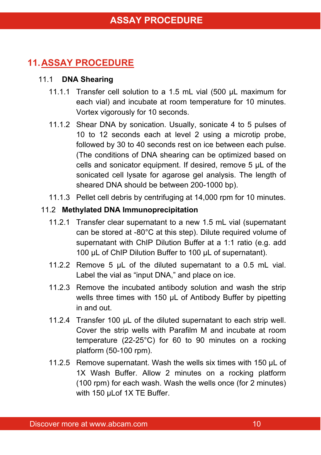# <span id="page-10-0"></span>**11.ASSAY PROCEDURE**

#### 11.1 **DNA Shearing**

- 11.1.1 Transfer cell solution to a 1.5 mL vial (500 µL maximum for each vial) and incubate at room temperature for 10 minutes. Vortex vigorously for 10 seconds.
- 11.1.2 Shear DNA by sonication. Usually, sonicate 4 to 5 pulses of 10 to 12 seconds each at level 2 using a microtip probe, followed by 30 to 40 seconds rest on ice between each pulse. (The conditions of DNA shearing can be optimized based on cells and sonicator equipment. If desired, remove 5 µL of the sonicated cell lysate for agarose gel analysis. The length of sheared DNA should be between 200-1000 bp).
- 11.1.3 Pellet cell debris by centrifuging at 14,000 rpm for 10 minutes.

#### 11.2 **Methylated DNA Immunoprecipitation**

- 11.2.1 Transfer clear supernatant to a new 1.5 mL vial (supernatant can be stored at -80°C at this step). Dilute required volume of supernatant with ChIP Dilution Buffer at a 1:1 ratio (e.g. add 100 µL of ChIP Dilution Buffer to 100 µL of supernatant).
- 11.2.2 Remove 5 µL of the diluted supernatant to a 0.5 mL vial. Label the vial as "input DNA," and place on ice.
- 11.2.3 Remove the incubated antibody solution and wash the strip wells three times with 150 µL of Antibody Buffer by pipetting in and out.
- 11.2.4 Transfer 100 uL of the diluted supernatant to each strip well. Cover the strip wells with Parafilm M and incubate at room temperature (22-25°C) for 60 to 90 minutes on a rocking platform (50-100 rpm).
- 11.2.5 Remove supernatant. Wash the wells six times with 150 µL of 1X Wash Buffer. Allow 2 minutes on a rocking platform (100 rpm) for each wash. Wash the wells once (for 2 minutes) with 150 µLof 1X TE Buffer.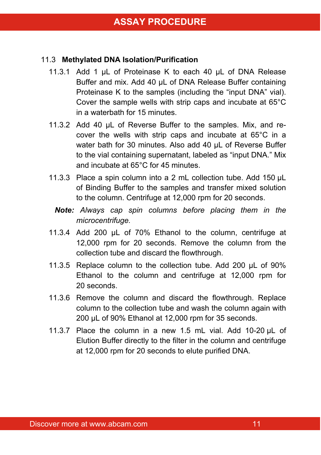#### 11.3 **Methylated DNA Isolation/Purification**

- 11.3.1 Add 1 µL of Proteinase K to each 40 µL of DNA Release Buffer and mix. Add 40 uL of DNA Release Buffer containing Proteinase K to the samples (including the "input DNA" vial). Cover the sample wells with strip caps and incubate at 65°C in a waterbath for 15 minutes.
- 11.3.2 Add 40 uL of Reverse Buffer to the samples. Mix, and recover the wells with strip caps and incubate at 65°C in a water bath for 30 minutes. Also add 40 uL of Reverse Buffer to the vial containing supernatant, labeled as "input DNA." Mix and incubate at 65°C for 45 minutes.
- 11.3.3 Place a spin column into a 2 mL collection tube. Add 150 µL of Binding Buffer to the samples and transfer mixed solution to the column. Centrifuge at 12,000 rpm for 20 seconds.
	- *Note: Always cap spin columns before placing them in the microcentrifuge.*
- 11.3.4 Add 200 µL of 70% Ethanol to the column, centrifuge at 12,000 rpm for 20 seconds. Remove the column from the collection tube and discard the flowthrough.
- 11.3.5 Replace column to the collection tube. Add 200 µL of 90% Ethanol to the column and centrifuge at 12,000 rpm for 20 seconds.
- 11.3.6 Remove the column and discard the flowthrough. Replace column to the collection tube and wash the column again with 200 µL of 90% Ethanol at 12,000 rpm for 35 seconds.
- 11.3.7 Place the column in a new 1.5 mL vial. Add 10-20 µL of Elution Buffer directly to the filter in the column and centrifuge at 12,000 rpm for 20 seconds to elute purified DNA.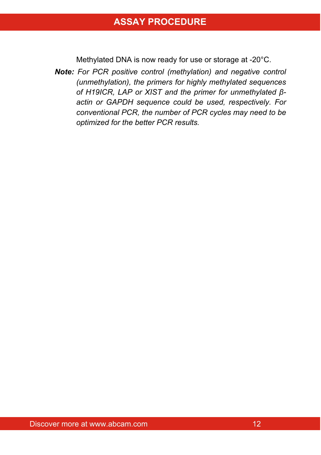Methylated DNA is now ready for use or storage at -20°C.

*Note: For PCR positive control (methylation) and negative control (unmethylation), the primers for highly methylated sequences of H19ICR, LAP or XIST and the primer for unmethylated βactin or GAPDH sequence could be used, respectively. For conventional PCR, the number of PCR cycles may need to be optimized for the better PCR results.*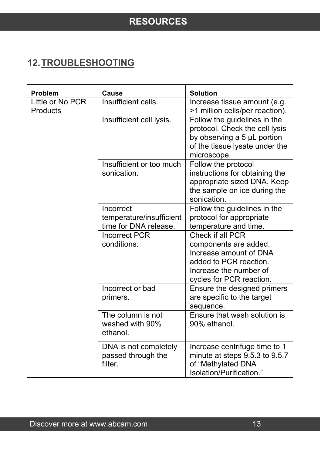# <span id="page-13-0"></span>**12.TROUBLESHOOTING**

| <b>Problem</b>               | Cause                                                          | <b>Solution</b>                                                                                                                                     |
|------------------------------|----------------------------------------------------------------|-----------------------------------------------------------------------------------------------------------------------------------------------------|
| Little or No PCR<br>Products | Insufficient cells.                                            | Increase tissue amount (e.g.<br>>1 million cells/per reaction).                                                                                     |
|                              | Insufficient cell lysis.                                       | Follow the guidelines in the<br>protocol. Check the cell lysis<br>by observing a 5 µL portion<br>of the tissue lysate under the<br>microscope.      |
|                              | Insufficient or too much<br>sonication.                        | Follow the protocol<br>instructions for obtaining the<br>appropriate sized DNA. Keep<br>the sample on ice during the<br>sonication.                 |
|                              | Incorrect<br>temperature/insufficient<br>time for DNA release. | Follow the guidelines in the<br>protocol for appropriate<br>temperature and time.                                                                   |
|                              | <b>Incorrect PCR</b><br>conditions.                            | Check if all PCR<br>components are added.<br>Increase amount of DNA<br>added to PCR reaction.<br>Increase the number of<br>cycles for PCR reaction. |
|                              | Incorrect or bad<br>primers.                                   | Ensure the designed primers<br>are specific to the target<br>sequence.                                                                              |
|                              | The column is not<br>washed with 90%<br>ethanol.               | Ensure that wash solution is<br>90% ethanol.                                                                                                        |
|                              | DNA is not completely<br>passed through the<br>filter.         | Increase centrifuge time to 1<br>minute at steps 9.5.3 to 9.5.7<br>of "Methylated DNA<br>Isolation/Purification."                                   |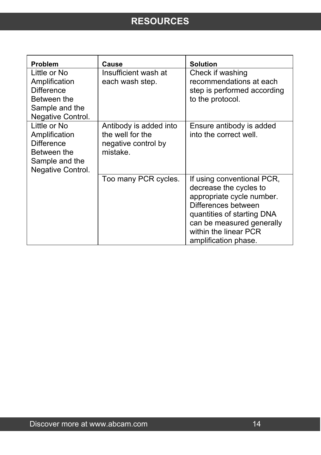| <b>Problem</b>                                                                                           | Cause                                                                         | <b>Solution</b>                                                                                                                                                                                                      |
|----------------------------------------------------------------------------------------------------------|-------------------------------------------------------------------------------|----------------------------------------------------------------------------------------------------------------------------------------------------------------------------------------------------------------------|
| Little or No<br>Amplification<br>Difference<br>Between the<br>Sample and the<br>Negative Control.        | Insufficient wash at<br>each wash step.                                       | Check if washing<br>recommendations at each<br>step is performed according<br>to the protocol.                                                                                                                       |
| Little or No<br>Amplification<br><b>Difference</b><br>Between the<br>Sample and the<br>Negative Control. | Antibody is added into<br>the well for the<br>negative control by<br>mistake. | Ensure antibody is added<br>into the correct well.                                                                                                                                                                   |
|                                                                                                          | Too many PCR cycles.                                                          | If using conventional PCR,<br>decrease the cycles to<br>appropriate cycle number.<br>Differences between<br>quantities of starting DNA<br>can be measured generally<br>within the linear PCR<br>amplification phase. |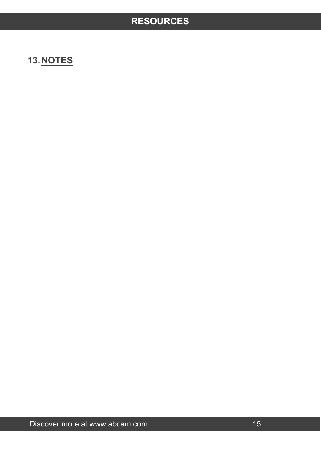# <span id="page-15-0"></span>**13.NOTES**